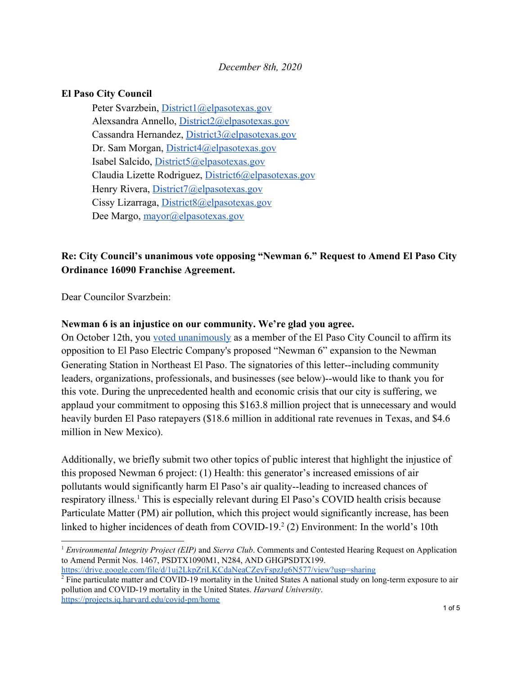### *December 8th, 2020*

### **El Paso City Council**

Peter Svarzbein, [District1@elpasotexas.gov](mailto:District1@elpasotexas.gov) Alexsandra Annello, [District2@elpasotexas.gov](mailto:District2@elpasotexas.gov) Cassandra Hernandez, [District3@elpasotexas.gov](mailto:District3@elpasotexas.gov) Dr. Sam Morgan, [District4@elpasotexas.gov](mailto:District4@elpasotexas.gov) Isabel Salcido, [District5@elpasotexas.gov](mailto:District5@elpasotexas.gov) Claudia Lizette Rodriguez, [District6@elpasotexas.gov](mailto:District6@elpasotexas.gov) Henry Rivera, [District7@elpasotexas.gov](mailto:District7@elpasotexas.gov) Cissy Lizarraga, [District8@elpasotexas.gov](mailto:District8@elpasotexas.gov) Dee Margo, [mayor@elpasotexas.gov](mailto:mayor@elpasotexas.gov)

# **Re: City Council's unanimous vote opposing "Newman 6." Request to Amend El Paso City Ordinance 16090 Franchise Agreement.**

Dear Councilor Svarzbein:

#### **Newman 6 is an injustice on our community. We're glad you agree.**

On October 12th, you [voted unanimously](https://www.elpasotimes.com/story/news/2020/10/14/el-paso-city-council-reaffirms-opposition-to-el-paso-electric-newman-power-plant-project/3642579001/) as a member of the El Paso City Council to affirm its opposition to El Paso Electric Company's proposed "Newman 6" expansion to the Newman Generating Station in Northeast El Paso. The signatories of this letter--including community leaders, organizations, professionals, and businesses (see below)--would like to thank you for this vote. During the unprecedented health and economic crisis that our city is suffering, we applaud your commitment to opposing this \$163.8 million project that is unnecessary and would heavily burden El Paso ratepayers (\$18.6 million in additional rate revenues in Texas, and \$4.6 million in New Mexico).

Additionally, we briefly submit two other topics of public interest that highlight the injustice of this proposed Newman 6 project: (1) Health: this generator's increased emissions of air pollutants would significantly harm El Paso's air quality--leading to increased chances of respiratory illness.<sup>1</sup> This is especially relevant during El Paso's COVID health crisis because Particulate Matter (PM) air pollution, which this project would significantly increase, has been linked to higher incidences of death from COVID-19. $2$  (2) Environment: In the world's 10th

<https://drive.google.com/file/d/1uj2LkpZriLKCdaNeaCZeyFspzJg6N577/view?usp=sharing>

<sup>1</sup> *Environmental Integrity Project (EIP)* and *Sierra Club*. Comments and Contested Hearing Request on Application to Amend Permit Nos. 1467, PSDTX1090M1, N284, AND GHGPSDTX199.

<sup>&</sup>lt;sup>2</sup> Fine particulate matter and COVID-19 mortality in the United States A national study on long-term exposure to air pollution and COVID-19 mortality in the United States. *Harvard University*. <https://projects.iq.harvard.edu/covid-pm/home>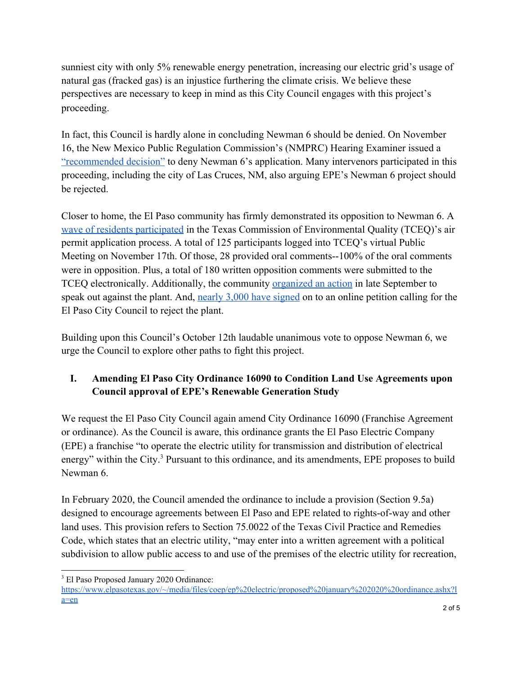sunniest city with only 5% renewable energy penetration, increasing our electric grid's usage of natural gas (fracked gas) is an injustice furthering the climate crisis. We believe these perspectives are necessary to keep in mind as this City Council engages with this project's proceeding.

In fact, this Council is hardly alone in concluding Newman 6 should be denied. On November 16, the New Mexico Public Regulation Commission's (NMPRC) Hearing Examiner issued a ["recommended decision"](https://votesolar.org/usa/new-mexico/updates/hearing-examiner-recommends-denying-proposed-el-paso-electric-gas-plant-expansion/) to deny Newman 6's application. Many intervenors participated in this proceeding, including the city of Las Cruces, NM, also arguing EPE's Newman 6 project should be rejected.

Closer to home, the El Paso community has firmly demonstrated its opposition to Newman 6. A [wave of residents participated](https://us7.campaign-archive.com/?e=__test_email__&u=8f98b851e94f659be52c775d5&id=ea202d6e6b) in the Texas Commission of Environmental Quality (TCEQ)'s air permit application process. A total of 125 participants logged into TCEQ's virtual Public Meeting on November 17th. Of those, 28 provided oral comments--100% of the oral comments were in opposition. Plus, a total of 180 written opposition comments were submitted to the TCEQ electronically. Additionally, the community [organized an action](https://www.theprospectordaily.com/2020/10/02/climate-activists-protest-proposed-fracking-plant-for-northeast-el-paso/) in late September to speak out against the plant. And, [nearly 3,000 have signed](http://change.org/p/el-paso-city-council-city-council-reject-the-newman-6-fracked-gas-plant?utm_source=share_petition&utm_medium=custom_url&recruited_by_id=49f83200-837b-11ea-a36f-87fca25e7f1f) on to an online petition calling for the El Paso City Council to reject the plant.

Building upon this Council's October 12th laudable unanimous vote to oppose Newman 6, we urge the Council to explore other paths to fight this project.

# **I. Amending El Paso City Ordinance 16090 to Condition Land Use Agreements upon Council approval of EPE's Renewable Generation Study**

We request the El Paso City Council again amend City Ordinance 16090 (Franchise Agreement or ordinance). As the Council is aware, this ordinance grants the El Paso Electric Company (EPE) a franchise "to operate the electric utility for transmission and distribution of electrical energy" within the City.<sup>3</sup> Pursuant to this ordinance, and its amendments, EPE proposes to build Newman 6.

In February 2020, the Council amended the ordinance to include a provision (Section 9.5a) designed to encourage agreements between El Paso and EPE related to rights-of-way and other land uses. This provision refers to Section 75.0022 of the Texas Civil Practice and Remedies Code, which states that an electric utility, "may enter into a written agreement with a political subdivision to allow public access to and use of the premises of the electric utility for recreation,

<sup>3</sup> El Paso Proposed January 2020 Ordinance:

[https://www.elpasotexas.gov/~/media/files/coep/ep%20electric/proposed%20january%202020%20ordinance.ashx?l](https://www.elpasotexas.gov/~/media/files/coep/ep%20electric/proposed%20january%202020%20ordinance.ashx?la=en) [a=en](https://www.elpasotexas.gov/~/media/files/coep/ep%20electric/proposed%20january%202020%20ordinance.ashx?la=en)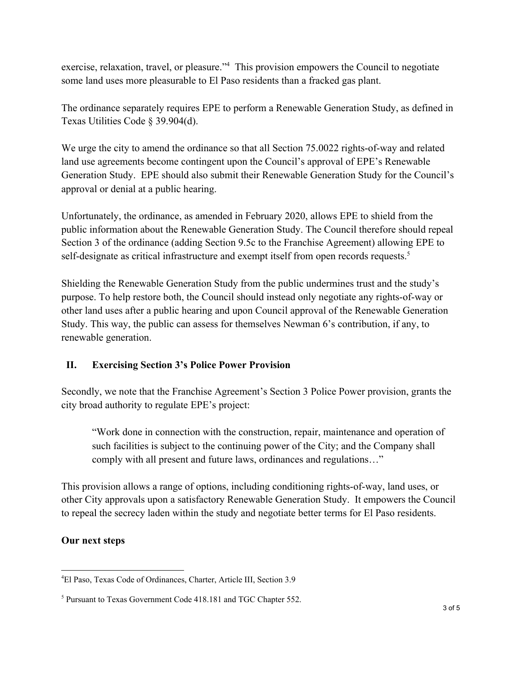exercise, relaxation, travel, or pleasure."<sup>4</sup> This provision empowers the Council to negotiate some land uses more pleasurable to El Paso residents than a fracked gas plant.

The ordinance separately requires EPE to perform a Renewable Generation Study, as defined in Texas Utilities Code § 39.904(d).

We urge the city to amend the ordinance so that all Section 75.0022 rights-of-way and related land use agreements become contingent upon the Council's approval of EPE's Renewable Generation Study. EPE should also submit their Renewable Generation Study for the Council's approval or denial at a public hearing.

Unfortunately, the ordinance, as amended in February 2020, allows EPE to shield from the public information about the Renewable Generation Study. The Council therefore should repeal Section 3 of the ordinance (adding Section 9.5c to the Franchise Agreement) allowing EPE to self-designate as critical infrastructure and exempt itself from open records requests.<sup>5</sup>

Shielding the Renewable Generation Study from the public undermines trust and the study's purpose. To help restore both, the Council should instead only negotiate any rights-of-way or other land uses after a public hearing and upon Council approval of the Renewable Generation Study. This way, the public can assess for themselves Newman 6's contribution, if any, to renewable generation.

## **II. Exercising Section 3's Police Power Provision**

Secondly, we note that the Franchise Agreement's Section 3 Police Power provision, grants the city broad authority to regulate EPE's project:

"Work done in connection with the construction, repair, maintenance and operation of such facilities is subject to the continuing power of the City; and the Company shall comply with all present and future laws, ordinances and regulations…"

This provision allows a range of options, including conditioning rights-of-way, land uses, or other City approvals upon a satisfactory Renewable Generation Study. It empowers the Council to repeal the secrecy laden within the study and negotiate better terms for El Paso residents.

## **Our next steps**

<sup>4</sup>El Paso, Texas Code of Ordinances, Charter, Article III, Section 3.9

<sup>5</sup> Pursuant to Texas Government Code 418.181 and TGC Chapter 552.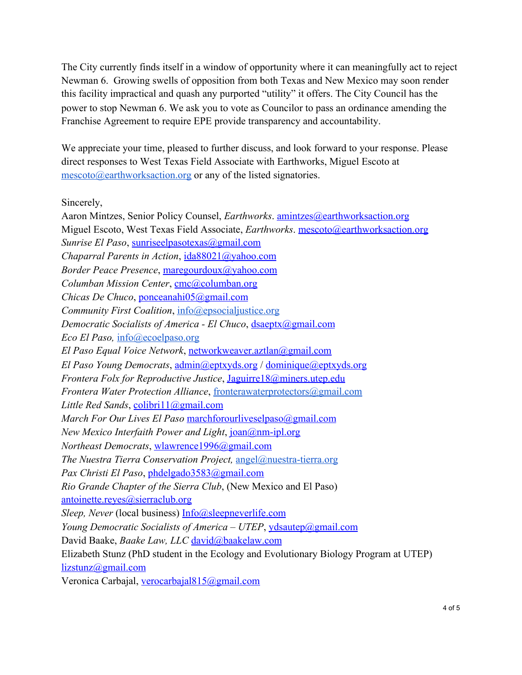The City currently finds itself in a window of opportunity where it can meaningfully act to reject Newman 6. Growing swells of opposition from both Texas and New Mexico may soon render this facility impractical and quash any purported "utility" it offers. The City Council has the power to stop Newman 6. We ask you to vote as Councilor to pass an ordinance amending the Franchise Agreement to require EPE provide transparency and accountability.

We appreciate your time, pleased to further discuss, and look forward to your response. Please direct responses to West Texas Field Associate with Earthworks, Miguel Escoto at [mescoto@earthworksaction.org](mailto:mescoto@earthworksaction.org) or any of the listed signatories.

Sincerely,

Aaron Mintzes, Senior Policy Counsel, *Earthworks*. [amintzes@earthworksaction.org](mailto:amintzes@earthworksaction.org) Miguel Escoto, West Texas Field Associate, *Earthworks*. [mescoto@earthworksaction.org](mailto:mescoto@earthworksaction.org) *Sunrise El Paso*, [sunriseelpasotexas@gmail.com](mailto:sunriseelpasotexas@gmail.com) *Chaparral Parents in Action*, [ida88021@yahoo.com](mailto:ida88021@yahoo.com) *Border Peace Presence*, [maregourdoux@yahoo.com](mailto:maregourdoux@yahoo.com) *Columban Mission Center*, [cmc@columban.org](mailto:cmc@columban.org) *Chicas De Chuco*, [ponceanahi05@gmail.com](mailto:ponceanahi05@gmail.com) *Community First Coalition*, [info@epsocialjustice.org](mailto:info@epsocialjustice.org) *Democratic Socialists of America - El Chuco*, [dsaeptx@gmail.com](mailto:dsaeptx@gmail.com) *Eco El Paso,* [info@ecoelpaso.org](mailto:info@ecoelpaso.org) *El Paso Equal Voice Network*, [networkweaver.aztlan@gmail.com](mailto:networkweaver.aztlan@gmail.com) *El Paso Young Democrats*, [admin@eptxyds.org](mailto:admin@eptxyds.org) / [dominique@eptxyds.org](mailto:dominique@eptxyds.org) *Frontera Folx for Reproductive Justice*, [Jaguirre18@miners.utep.edu](mailto:Jaguirre18@miners.utep.edu) *Frontera Water Protection Alliance*, [fronterawaterprotectors@gmail.com](mailto:fronterawaterprotectors@gmail.com) *Little Red Sands*, [colibri11@gmail.com](mailto:colibri11@gmail.com) *March For Our Lives El Paso* [marchforourliveselpaso@gmail.com](mailto:marchforourliveselpaso@gmail.com) *New Mexico Interfaith Power and Light*, [joan@nm-ipl.org](mailto:joan@nm-ipl.org) *Northeast Democrats*, [wlawrence1996@gmail.com](mailto:wlawrence1996@gmail.com) *The Nuestra Tierra Conservation Project,* [angel@nuestra-tierra.org](mailto:angel@nuestra-tierra.org) *Pax Christi El Paso*, [phdelgado3583@gmail.com](mailto:phdelgado3583@gmail.com) *Rio Grande Chapter of the Sierra Club*, (New Mexico and El Paso) [antoinette.reyes@sierraclub.org](mailto:antoinette.reyes@sierraclub.org) *Sleep, Never* (local business) **[Info@sleepneverlife.com](mailto:Info@sleepneverlife.com)** *Young Democratic Socialists of America – UTEP*, *ydsautep*@gmail.com David Baake, *Baake Law, LLC* [david@baakelaw.com](mailto:david@baakelaw.com) Elizabeth Stunz (PhD student in the Ecology and Evolutionary Biology Program at UTEP) [lizstunz@gmail.com](mailto:lizstunz@gmail.com) Veronica Carbajal, [verocarbajal815@gmail.com](mailto:verocarbajal815@gmail.com)